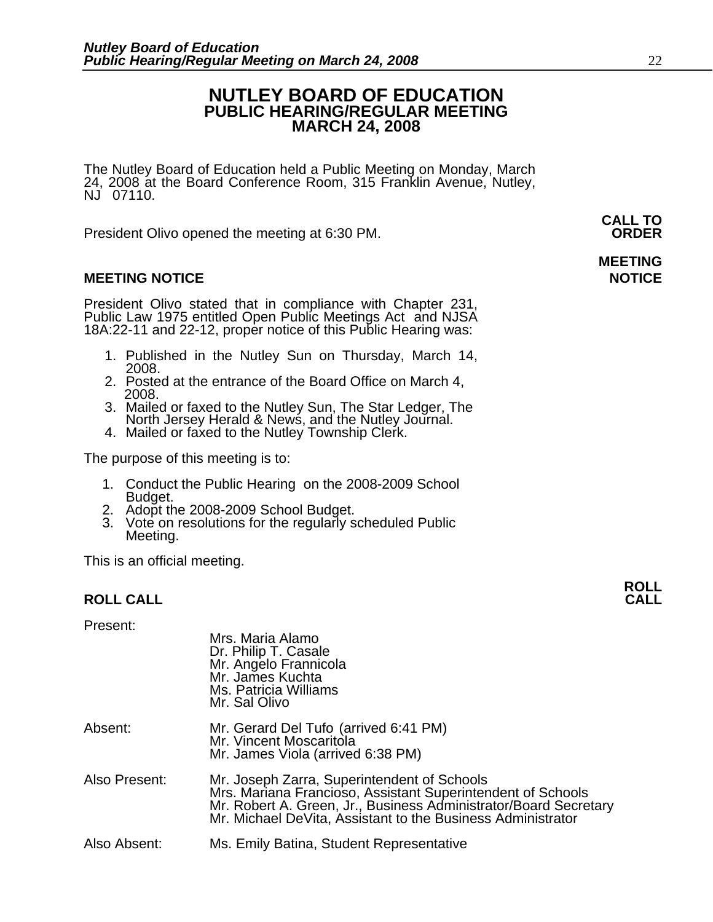#### **NUTLEY BOARD OF EDUCATION PUBLIC HEARING/REGULAR MEETING MARCH 24, 2008**

The Nutley Board of Education held a Public Meeting on Monday, March 24, 2008 at the Board Conference Room, 315 Franklin Avenue, Nutley, NJ 07110.

 **CALL TO**  President Olivo opened the meeting at 6:30 PM. **ORDER**

#### **MEETING NOTICE NOTICE AND INSTRUMENT IN A SET ON A SET ON A SET ON A SET ON A SET ON A SET ON A SET ON A SET O**

President Olivo stated that in compliance with Chapter 231, Public Law 1975 entitled Open Public Meetings Act and NJSA 18A:22-11 and 22-12, proper notice of this Public Hearing was:

- 1. Published in the Nutley Sun on Thursday, March 14, 2008.
- 2. Posted at the entrance of the Board Office on March 4, 2008.
- 3. Mailed or faxed to the Nutley Sun, The Star Ledger, The North Jersey Herald & News, and the Nutley Journal. 4. Mailed or faxed to the Nutley Township Clerk.
- 

The purpose of this meeting is to:

- 1. Conduct the Public Hearing on the 2008-2009 School<br>Budget.<br>2. Adopt the 2008-2009 School Budget.
- 
- 3. Vote on resolutions for the regularly scheduled Public Meeting.

This is an official meeting.

#### **ROLL CALL CALL**

Present:

|               | Mrs. Maria Alamo<br>Dr. Philip T. Casale<br>Mr. Angelo Frannicola<br>Mr. James Kuchta<br>Ms. Patricia Williams<br>Mr. Sal Olivo                                                                                                               |
|---------------|-----------------------------------------------------------------------------------------------------------------------------------------------------------------------------------------------------------------------------------------------|
| Absent:       | Mr. Gerard Del Tufo (arrived 6:41 PM)<br>Mr. Vincent Moscaritola<br>Mr. James Viola (arrived 6:38 PM)                                                                                                                                         |
| Also Present: | Mr. Joseph Zarra, Superintendent of Schools<br>Mrs. Mariana Francioso, Assistant Superintendent of Schools<br>Mr. Robert A. Green, Jr., Business Administrator/Board Secretary<br>Mr. Michael DeVita, Assistant to the Business Administrator |
| Also Absent:  | Ms. Emily Batina, Student Representative                                                                                                                                                                                                      |

## **MEETING**

**ROLL**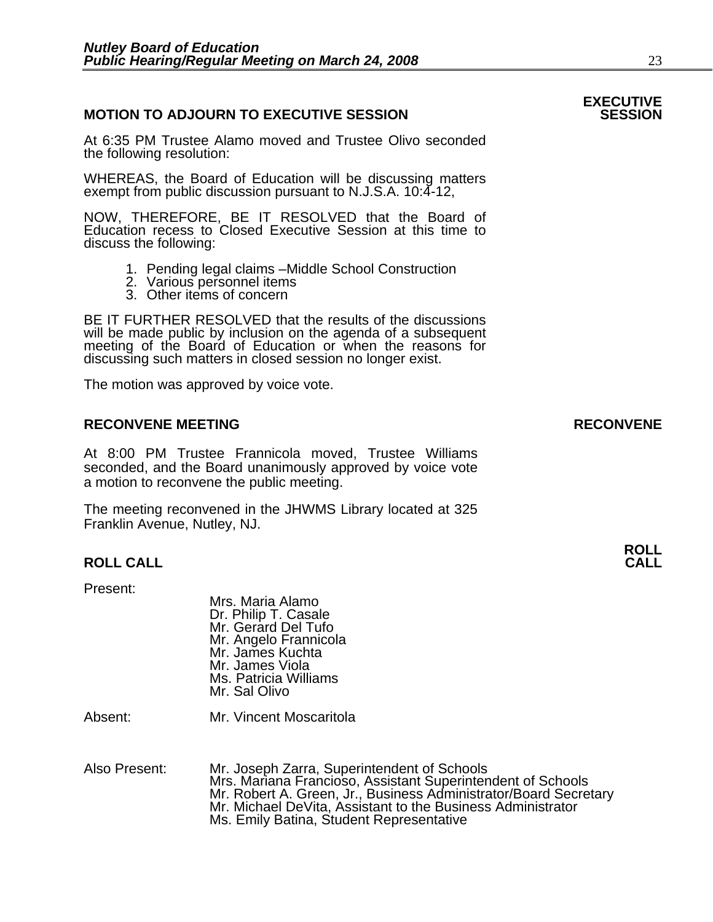#### **MOTION TO ADJOURN TO EXECUTIVE SESSION**

At 6:35 PM Trustee Alamo moved and Trustee Olivo seconded the following resolution:

WHEREAS, the Board of Education will be discussing matters exempt from public discussion pursuant to N.J.S.A. 10:4-12,

NOW, THEREFORE, BE IT RESOLVED that the Board of Education recess to Closed Executive Session at this time to discuss the following:

- 1. Pending legal claims –Middle School Construction
- 2. Various personnel items
- 3. Other items of concern

BE IT FURTHER RESOLVED that the results of the discussions will be made public by inclusion on the agenda of a subsequent meeting of the Board of Education or when the reasons for discussing such matters in closed session no longer exist.

The motion was approved by voice vote.

#### **RECONVENE MEETING RECONVENE**

At 8:00 PM Trustee Frannicola moved, Trustee Williams seconded, and the Board unanimously approved by voice vote a motion to reconvene the public meeting.

The meeting reconvened in the JHWMS Library located at 325 Franklin Avenue, Nutley, NJ.

#### **ROLL CALL CALL**

Present:

Mrs. Maria Alamo Dr. Philip T. Casale Mr. Gerard Del Tufo Mr. Angelo Frannicola Mr. James Kuchta Mr. James Viola Ms. Patricia Williams Mr. Sal Olivo

Absent: Mr. Vincent Moscaritola

Also Present: Mr. Joseph Zarra, Superintendent of Schools<br>Mrs. Mariana Francioso, Assistant Superintendent of Schools Mr. Robert A. Green, Jr., Business Administrator/Board Secretary<br>Mr. Michael DeVita, Assistant to the Business Administrator Ms. Emily Batina, Student Representative

## **EXECUTIVE**

**ROLL**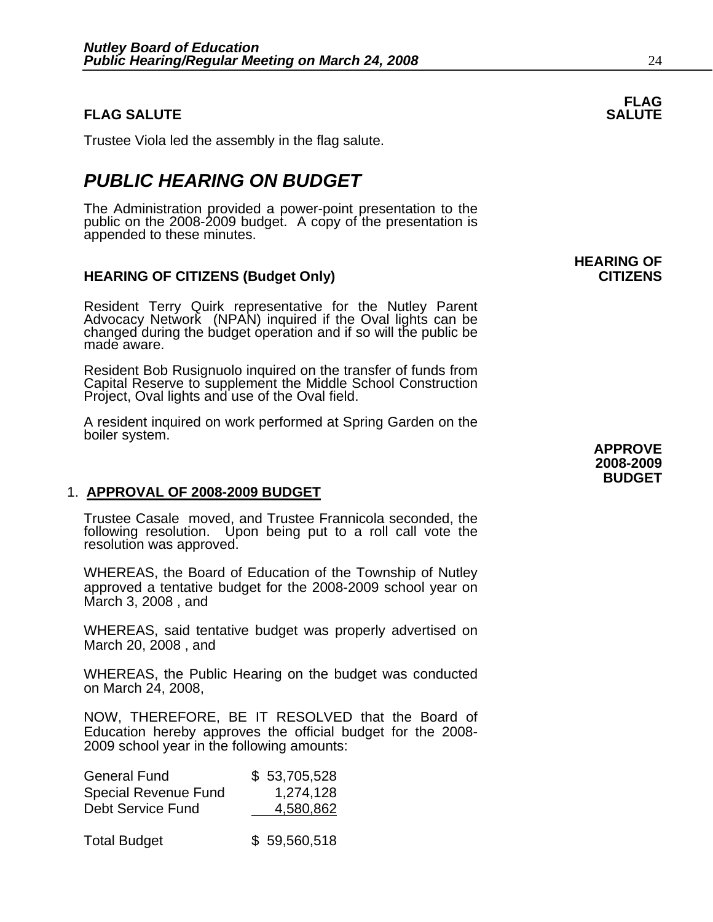#### **FLAG SALUTE** SALUTE SALUTE SALUTE SALUTE SALUTE

Trustee Viola led the assembly in the flag salute.

### *PUBLIC HEARING ON BUDGET*

The Administration provided a power-point presentation to the public on the 2008-2009 budget. A copy of the presentation is<br>appended to these minutes.

#### **HEARING OF CITIZENS (Budget Only)** The state of the control of the CITIZENS of the control of the control of the control of the control of the control of the control of the control of the control of the control of the con

Resident Terry Quirk representative for the Nutley Parent Advocacy Network (NPAN) inquired if the Oval lights can be changed during the budget operation and if so will the public be made aware.

Resident Bob Rusignuolo inquired on the transfer of funds from Capital Reserve to supplement the Middle School Construction Project, Oval lights and use of the Oval field.

A resident inquired on work performed at Spring Garden on the boiler system.

#### 1. **APPROVAL OF 2008-2009 BUDGET**

Trustee Casale moved, and Trustee Frannicola seconded, the following resolution. Upon being put to a roll call vote the resolution was approved.

WHEREAS, the Board of Education of the Township of Nutley approved a tentative budget for the 2008-2009 school year on March 3, 2008 , and

WHEREAS, said tentative budget was properly advertised on March 20, 2008 , and

WHEREAS, the Public Hearing on the budget was conducted on March 24, 2008,

NOW, THEREFORE, BE IT RESOLVED that the Board of Education hereby approves the official budget for the 2008- 2009 school year in the following amounts:

| <b>General Fund</b>         | \$53,705,528 |
|-----------------------------|--------------|
| <b>Special Revenue Fund</b> | 1,274,128    |
| <b>Debt Service Fund</b>    | 4,580,862    |
|                             |              |
| <b>Total Budget</b>         | \$59,560,518 |

## **HEARING OF**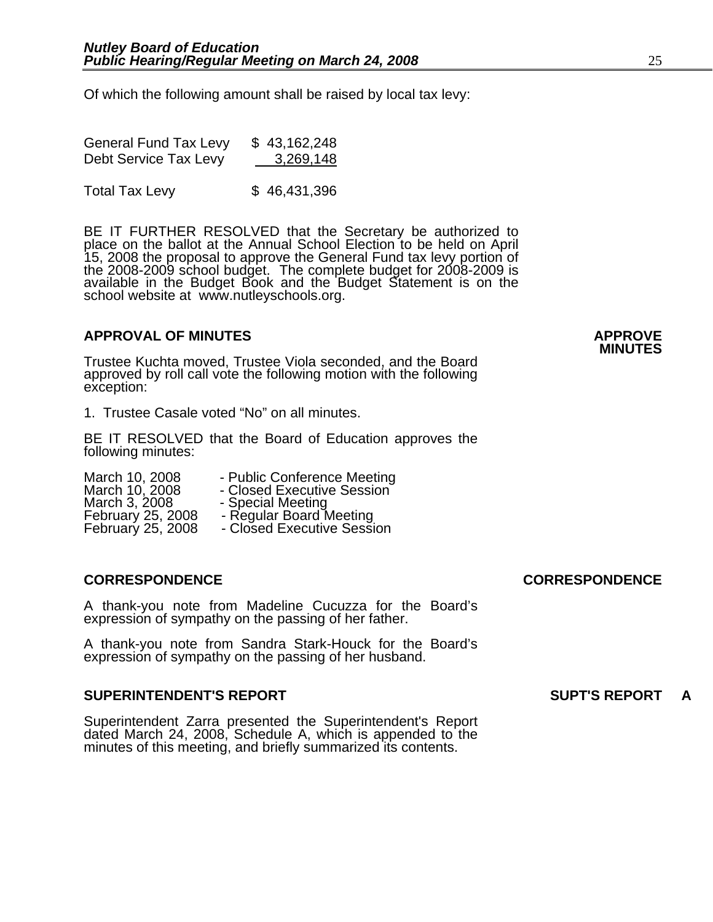Of which the following amount shall be raised by local tax levy:

| <b>General Fund Tax Levy</b> | \$43,162,248 |
|------------------------------|--------------|
| Debt Service Tax Levy        | 3,269,148    |

Total Tax Levy \$46,431,396

BE IT FURTHER RESOLVED that the Secretary be authorized to<br>place on the ballot at the Annual School Election to be held on April<br>15, 2008 the proposal to approve the General Fund tax levy portion of<br>the 2008-2009 school bu available in the Budget Book and the Budget Statement is on the<br>school website at www.nutleyschools.org.

### **APPROVAL OF MINUTES APPROVE**

Trustee Kuchta moved, Trustee Viola seconded, and the Board approved by roll call vote the following motion with the following exception:

1. Trustee Casale voted "No" on all minutes.

BE IT RESOLVED that the Board of Education approves the following minutes:

March 10, 2008 - Public Conference Meeting<br>March 10, 2008 - Closed Executive Session<br>March 3, 2008 - Special Meeting March 3, 2008 - Special Meeting<br>February 25, 2008 - Regular Board Meeting<br>February 25, 2008 - Closed Executive Sessi - Closed Executive Session

#### **CORRESPONDENCE CORRESPONDENCE**

A thank-you note from Madeline Cucuzza for the Board's expression of sympathy on the passing of her father.

A thank-you note from Sandra Stark-Houck for the Board's expression of sympathy on the passing of her husband.

#### **SUPERINTENDENT'S REPORT SUPT'S REPORT A**

Superintendent Zarra presented the Superintendent's Report dated March 24, 2008, Schedule A, which is appended to the minutes of this meeting, and briefly summarized its contents.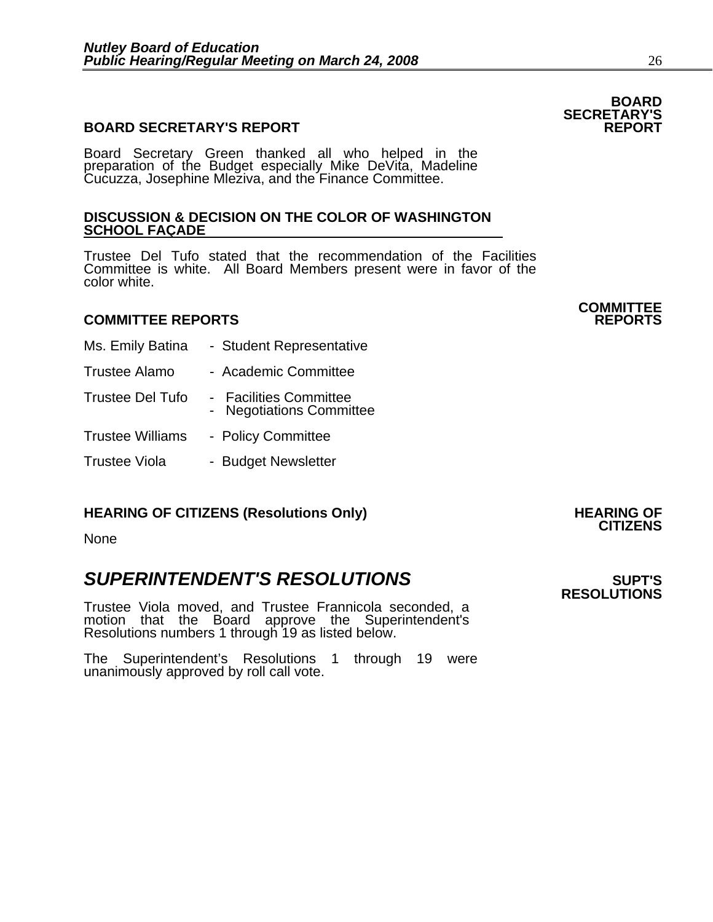#### **BOARD SECRETARY'S REPORT**

Board Secretary Green thanked all who helped in the preparation of the Budget especially Mike DeVita, Madeline Cucuzza, Josephine Mleziva, and the Finance Committee.

#### **DISCUSSION & DECISION ON THE COLOR OF WASHINGTON SCHOOL FAÇADE**

Trustee Del Tufo stated that the recommendation of the Facilities Committee is white. All Board Members present were in favor of the color white.

#### **COMMITTEE REPORTS REPORTS**

- Ms. Emily Batina Student Representative
- Trustee Alamo Academic Committee
- Trustee Del Tufo Facilities Committee
	- Negotiations Committee
- Trustee Williams Policy Committee
- Trustee Viola Budget Newsletter

### **HEARING OF CITIZENS (Resolutions Only) HEARING OF CITIZENS**

None

### **SUPERINTENDENT'S RESOLUTIONS EXAMPLE ASSESSED ASSESSED ASSESSED ASSESSED ASSESSED ASSESSED ASSESSED ASSESSED ASSESSED ASSESSED ASSESSED ASSESSED ASSESSED ASSESSED ASSESSED ASSESSED ASSESSED ASSESSED ASSESSED ASSESSED AS**

Trustee Viola moved, and Trustee Frannicola seconded, a motion that the Board approve the Superintendent's Resolutions numbers 1 through 19 as listed below.

The Superintendent's Resolutions 1 through 19 were unanimously approved by roll call vote.

### **BOARD SECRETARY'S**

**COMMITTEE** 

**RESOLUTIONS**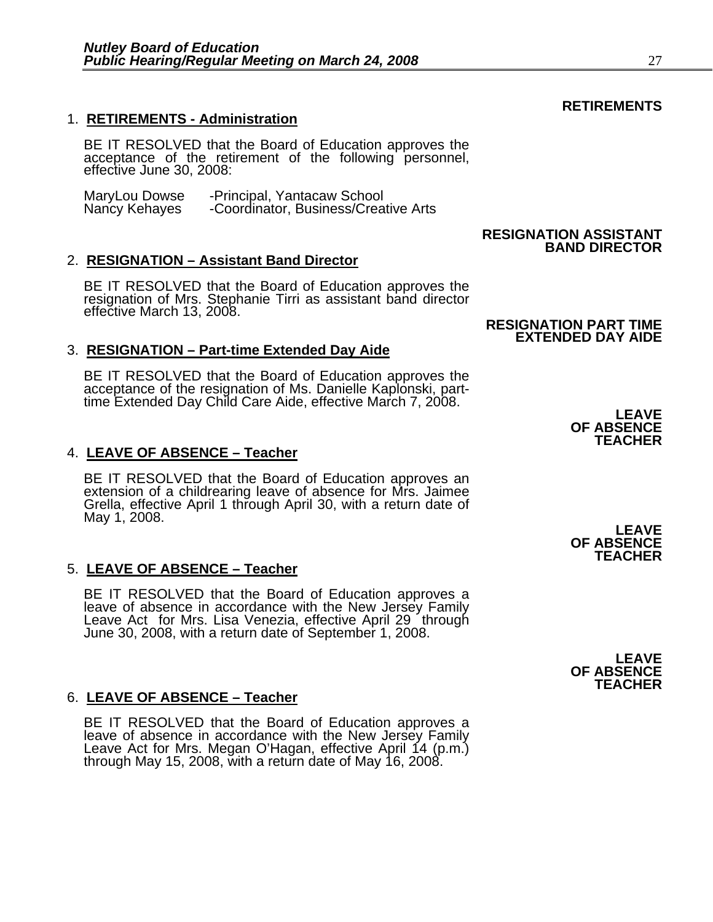#### 1. **RETIREMENTS - Administration**

BE IT RESOLVED that the Board of Education approves the acceptance of the retirement of the following personnel, effective June 30, 2008:

MaryLou Dowse - Principal, Yantacaw School<br>Nancy Kehayes - Coordinator, Business/Crea -Coordinator, Business/Creative Arts

#### 2. **RESIGNATION – Assistant Band Director**

BE IT RESOLVED that the Board of Education approves the resignation of Mrs. Stephanie Tirri as assistant band director effective March 13, 2008.

#### 3. **RESIGNATION – Part-time Extended Day Aide**

BE IT RESOLVED that the Board of Education approves the acceptance of the resignation of Ms. Danielle Kaplonski, part-<br>time Extended Day Child Care Aide, effective March 7, 2008.

#### 4. **LEAVE OF ABSENCE – Teacher**

BE IT RESOLVED that the Board of Education approves an extension of a childrearing leave of absence for Mrs. Jaimee Grella, effective April 1 through April 30, with a return date of May 1, 2008. **LEAVE** 

#### 5. **LEAVE OF ABSENCE – Teacher**

BE IT RESOLVED that the Board of Education approves a leave of absence in accordance with the New Jersey Family Leave Act for Mrs. Lisa Venezia, effective April 29 through June 30, 2008, with a return date of September 1,

#### 6. **LEAVE OF ABSENCE – Teacher**

BE IT RESOLVED that the Board of Education approves a leave of absence in accordance with the New Jersey Family Leave Act for Mrs. Megan O'Hagan, effective April 14 (p.m.) through May 15, 2008, with a return date of May 16

#### **RESIGNATION ASSISTANT BAND DIRECTOR**

#### **RESIGNATION PART TIME EXTENDED DAY AIDE**

**LEAVE OF ABSENCE TEACHER** 

**OF ABSENCE TEACHER** 

**LEAVE OF ABSENCE TEACHER** 

#### **RETIREMENTS**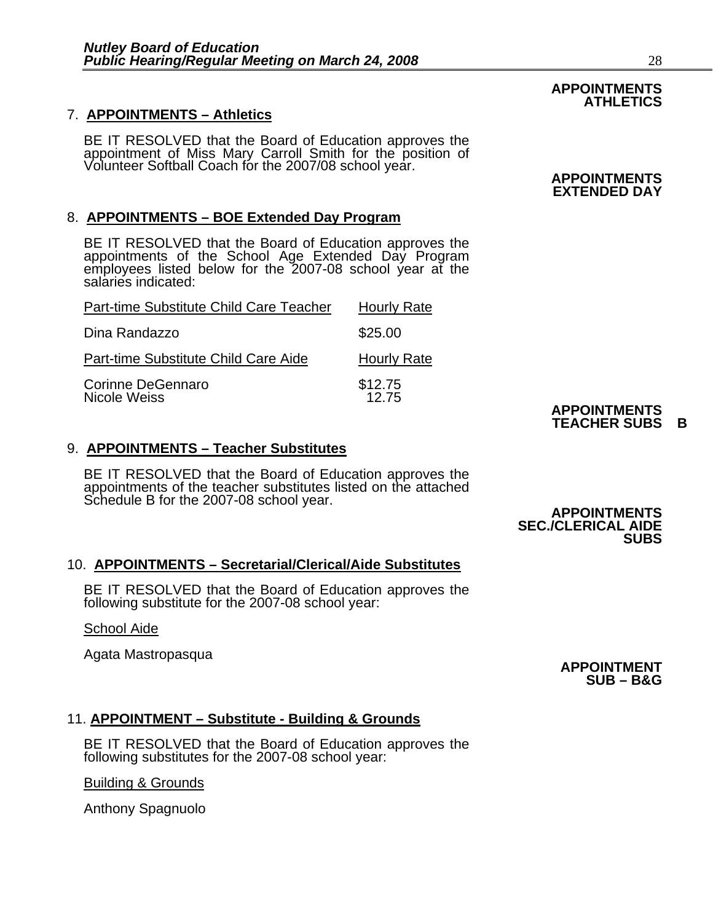### 7. **APPOINTMENTS – Athletics**

BE IT RESOLVED that the Board of Education approves the<br>appointment of Miss Mary Carroll Smith for the position of<br>Volunteer Softball Coach for the 2007/08 school year. **APPOINTMENTS** 

#### 8. **APPOINTMENTS – BOE Extended Day Program**

BE IT RESOLVED that the Board of Education approves the appointments of the School Age Extended Day Program employees listed below for the 2007-08 school year at the salaries indicated:

| Part-time Substitute Child Care Teacher | <b>Hourly Rate</b> |
|-----------------------------------------|--------------------|
| Dina Randazzo                           | \$25.00            |
| Part-time Substitute Child Care Aide    | <b>Hourly Rate</b> |
| Corinne DeGennaro<br>Nicole Weiss       | \$12.75<br>12.75   |

#### **TEACHER SUBS B** 9. **APPOINTMENTS – Teacher Substitutes**

BE IT RESOLVED that the Board of Education approves the appointments of the teacher substitutes listed on the attached Schedule B for the 2007-08 school year.<br>**APPOINTMENTS** 

### 10. **APPOINTMENTS – Secretarial/Clerical/Aide Substitutes**

BE IT RESOLVED that the Board of Education approves the following substitute for the 2007-08 school year:

#### School Aide

Agata Mastropasqua **Approximate and APPOINTMENT** APPOINTMENT

### 11. **APPOINTMENT – Substitute - Building & Grounds**

BE IT RESOLVED that the Board of Education approves the following substitutes for the 2007-08 school year:

Building & Grounds

Anthony Spagnuolo

#### **APPOINTMENTS ATHLETICS**

## **EXTENDED DAY**

## **APPOINTMENTS**

### **SEC./CLERICAL AIDE SUBS**

## **SUB – B&G**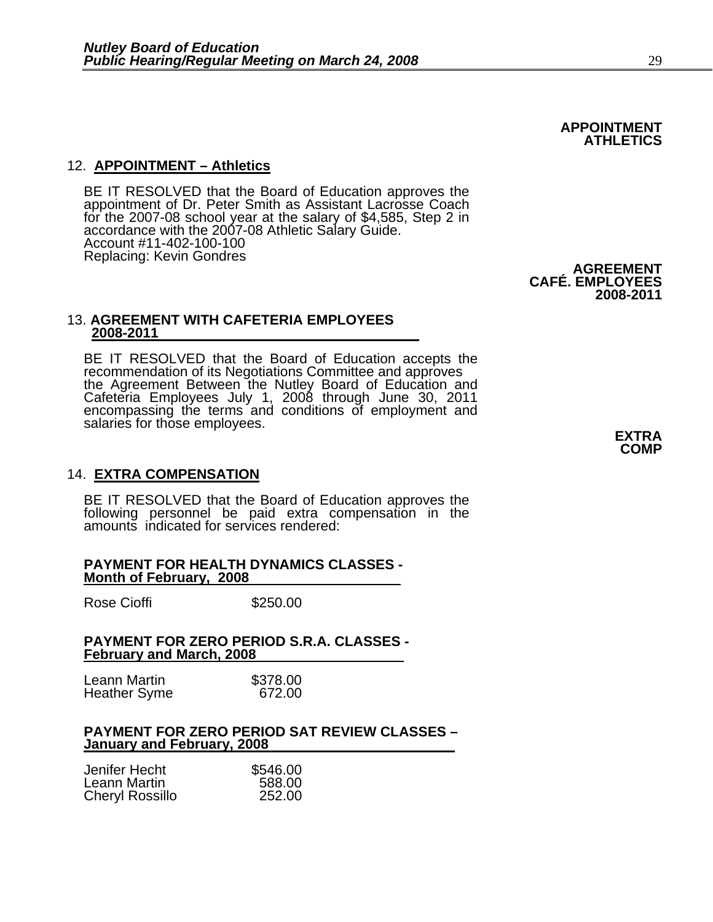#### 12. **APPOINTMENT – Athletics**

BE IT RESOLVED that the Board of Education approves the appointment of Dr. Peter Smith as Assistant Lacrosse Coach for the 2007-08 school year at the salary of \$4,585, Step 2 in accordance with the 2007-08 Athletic Salary Guide. Account #11-402-100-100

#### 13. **AGREEMENT WITH CAFETERIA EMPLOYEES 2008-2011**

BE IT RESOLVED that the Board of Education accepts the recommendation of its Negotiations Committee and approves the Agreement Between the Nutley Board of Education and the Agreement Between the Nutley Board of Education and<br>Cafeteria Employees July 1, 2008 through June 30, 2011 encompassing the terms and conditions of employment and salaries for those employees.<br> **EXTRA** 

#### 14. **EXTRA COMPENSATION**

BE IT RESOLVED that the Board of Education approves the following personnel be paid extra compensation in the amounts indicated for services rendered:

#### **PAYMENT FOR HEALTH DYNAMICS CLASSES - Month of February, 2008**

Rose Cioffi **\$250.00** 

#### **PAYMENT FOR ZERO PERIOD S.R.A. CLASSES - February and March, 2008**

| Leann Martin        | \$378.00 |
|---------------------|----------|
| <b>Heather Syme</b> | 672.00   |

#### **PAYMENT FOR ZERO PERIOD SAT REVIEW CLASSES – January and February, 2008**

| Jenifer Hecht   | \$546.00 |
|-----------------|----------|
| Leann Martin    | 588.00   |
| Cheryl Rossillo | 252.00   |

**COMP**

**2008-2011**



Replacing: Kevin Gondres **AGREEMENT CAFÉ. EMPLOYEES**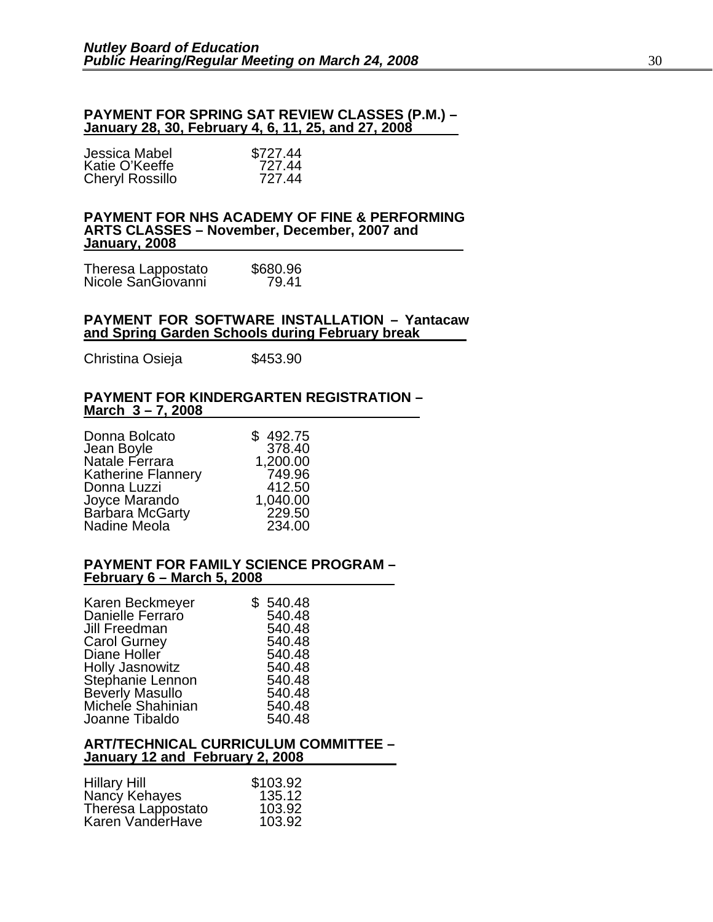#### **PAYMENT FOR SPRING SAT REVIEW CLASSES (P.M.) – January 28, 30, February 4, 6, 11, 25, and 27, 2008**

| Jessica Mabel          | \$727.44 |
|------------------------|----------|
| Katie O'Keeffe         | 727.44   |
| <b>Cheryl Rossillo</b> | 727.44   |

#### **PAYMENT FOR NHS ACADEMY OF FINE & PERFORMING ARTS CLASSES – November, December, 2007 and January, 2008**

| Theresa Lappostato<br>Nicole SanGiovanni | \$680.96 |
|------------------------------------------|----------|
|                                          | 79.41    |

#### **PAYMENT FOR SOFTWARE INSTALLATION – Yantacaw and Spring Garden Schools during February break**

Christina Osieja  $$453.90$ 

#### **PAYMENT FOR KINDERGARTEN REGISTRATION – March 3 – 7, 2008**

| Donna Bolcato             | \$492.75 |
|---------------------------|----------|
| Jean Boyle                | 378.40   |
| Natale Ferrara            | 1,200.00 |
| <b>Katherine Flannery</b> | 749.96   |
| Donna Luzzi               | 412.50   |
| Joyce Marando             | 1,040.00 |
| Barbara McGarty           | 229.50   |
| Nadine Meola              | 234.00   |

#### **PAYMENT FOR FAMILY SCIENCE PROGRAM – February 6 – March 5, 2008**

| Karen Beckmeyer        | \$540.48 |
|------------------------|----------|
| Danielle Ferraro       | 540.48   |
| Jill Freedman          | 540.48   |
| <b>Carol Gurney</b>    | 540.48   |
| Diane Holler           | 540.48   |
| <b>Holly Jasnowitz</b> | 540.48   |
| Stephanie Lennon       | 540.48   |
| <b>Beverly Masullo</b> | 540.48   |
| Michele Shahinian      | 540.48   |
| Joanne Tibaldo         | 540.48   |

#### **ART/TECHNICAL CURRICULUM COMMITTEE – January 12 and February 2, 2008**

| <b>Hillary Hill</b> | \$103.92 |
|---------------------|----------|
| Nancy Kehayes       | 135.12   |
| Theresa Lappostato  | 103.92   |
| Karen VanderHave    | 103.92   |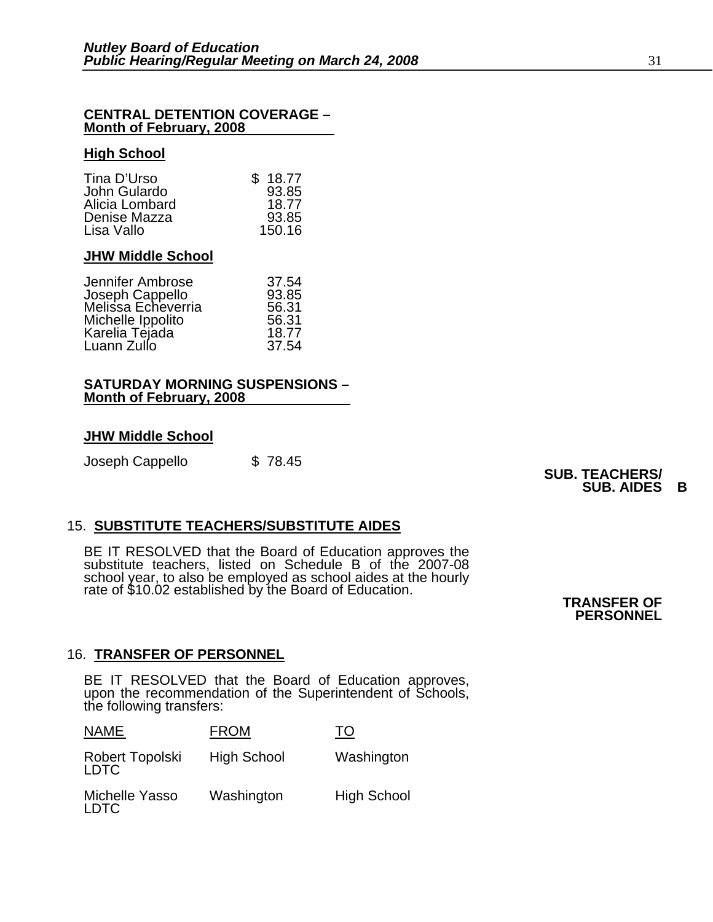#### **CENTRAL DETENTION COVERAGE – Month of February, 2008**

#### **High School**

| Tina D'Urso<br>John Gulardo<br>Alicia Lombard | \$18.77<br>93.85<br>18.77 |
|-----------------------------------------------|---------------------------|
| Denise Mazza                                  | 93.85                     |
| Lisa Vallo                                    | 150.16                    |

#### **JHW Middle School**

| 93.85<br>18.77<br>37.54 |
|-------------------------|

#### **SATURDAY MORNING SUSPENSIONS – Month of February, 2008**

#### **JHW Middle School**

Joseph Cappello \$ 78.45 **SUB. TEACHERS/ SUB. AIDES B**

#### 15. **SUBSTITUTE TEACHERS/SUBSTITUTE AIDES**

BE IT RESOLVED that the Board of Education approves the substitute teachers, listed on Schedule B of the 2007-08 school year, to also be employed as school aides at the hourly rate of \$10.02 established by the Board of Education. **TRANSFER OF** 

**PERSONNEL**<br>PERSONNEL

#### 16. **TRANSFER OF PERSONNEL**

BE IT RESOLVED that the Board of Education approves, upon the recommendation of the Superintendent of Schools, the following transfers:

| NAME                          | <b>FROM</b>        | TО                 |
|-------------------------------|--------------------|--------------------|
| Robert Topolski<br>LDTC       | <b>High School</b> | Washington         |
| Michelle Yasso<br><b>LDTC</b> | Washington         | <b>High School</b> |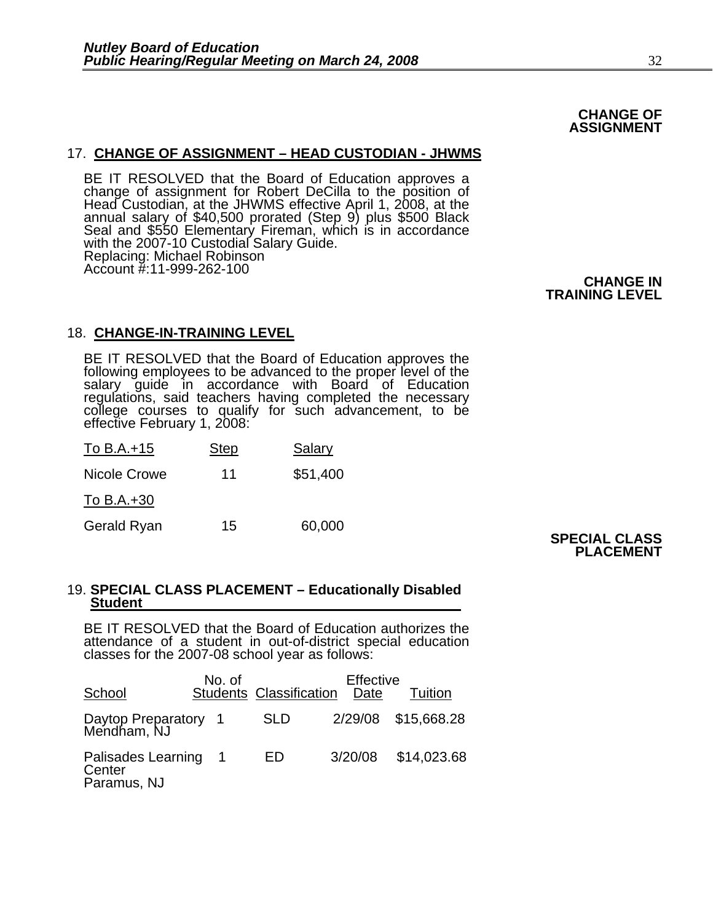#### **CHANGE OF ASSIGNMENT**

17. **CHANGE OF ASSIGNMENT – HEAD CUSTODIAN - JHWMS**<br>BE IT RESOLVED that the Board of Education approves a<br>change of assignment for Robert DeCilla to the position of<br>Head Custodian, at the JHWMS effective April 1, 2008, at with the 2007-10 Custodial Salary Guide. Replacing: Michael Robinson Account #:11-999-262-100

**CHANGE IN<br>TRAINING LEVEL TRAINING LEVEL** 

#### 18. **CHANGE-IN-TRAINING LEVEL**

BE IT RESOLVED that the Board of Education approves the following employees to be advanced to the proper level of the salary guide in accordance with Board of Education regulations, said teachers having completed the necessary college courses to qualify for such advancement, to be effective February 1, 2008:

| To B.A.+15   | <b>Step</b> | Salary   |
|--------------|-------------|----------|
| Nicole Crowe | 11          | \$51,400 |
| To B.A.+30   |             |          |

Gerald Ryan 15 60,000

#### **SPECIAL CLASS PLACEMENT**

### 19. **SPECIAL CLASS PLACEMENT – Educationally Disabled Student**

BE IT RESOLVED that the Board of Education authorizes the attendance of a student in out-of-district special education classes for the 2007-08 school year as follows:

| School                                      | No. of | <b>Students Classification</b> | Effective<br>Date | Tuition             |  |
|---------------------------------------------|--------|--------------------------------|-------------------|---------------------|--|
| Daytop Preparatory 1<br>Mendham, NJ         |        | <b>SLD</b>                     |                   | 2/29/08 \$15,668.28 |  |
| Palisades Learning<br>Center<br>Paramus, NJ |        | ED                             | 3/20/08           | \$14,023.68         |  |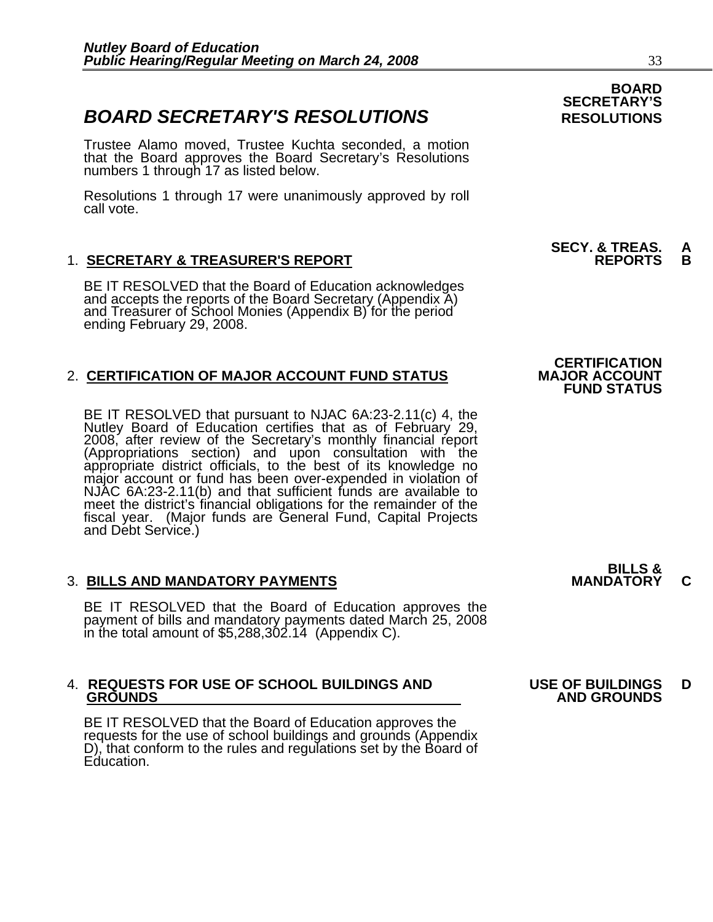### **BOARD SECRETARY'S RESOLUTIONS** RESOLUTIONS

Trustee Alamo moved, Trustee Kuchta seconded, a motion that the Board approves the Board Secretary's Resolutions numbers 1 through 17 as listed below.

Resolutions 1 through 17 were unanimously approved by roll call vote.

#### 1. <u>SECRETARY & TREASURER'S REPORT</u>

BE IT RESOLVED that the Board of Education acknowledges and accepts the reports of the Board Secretary (Appendix A) and Treasurer of School Monies (Appendix B) for the period ending February 29, 2008.

#### 2. **CERTIFICATION OF MAJOR ACCOUNT FUND STATUS**

BE IT RESOLVED that pursuant to NJAC 6A:23-2.11(c) 4, the Nutley Board of Education certifies that as of February 29, 2008, after review of the Secretary's monthly financial report (Appropriations section) and upon consult appropriate district officials, to the best of its knowledge no<br>major account or fund has been over-expended in violation of<br>NJAC 6A:23-2.11(b) and that sufficient funds are available to meet the district's financial obligations for the remainder of the fiscal year. (Major funds are General Fund, Capital Projects and Debt Service.)

#### 3. **BILLS AND MANDATORY PAYMENTS MANDATORY C**

BE IT RESOLVED that the Board of Education approves the payment of bills and mandatory payments dated March 25, 2008 in the total amount of \$5,288,302.14 (Appendix C).

## 4. **REQUESTS FOR USE OF SCHOOL BUILDINGS AND USE OF BUILDINGS D**

BE IT RESOLVED that the Board of Education approves the requests for the use of school buildings and grounds (Appendix D), that conform to the rules and regulations set by the Board of Education.

### **BOARD SECRETARY'S**

### **SECY. & TREAS. A**

### **CERTIFICATION FUND STATUS**

## **BILLS &**

## **GROUNDS AND GROUNDS**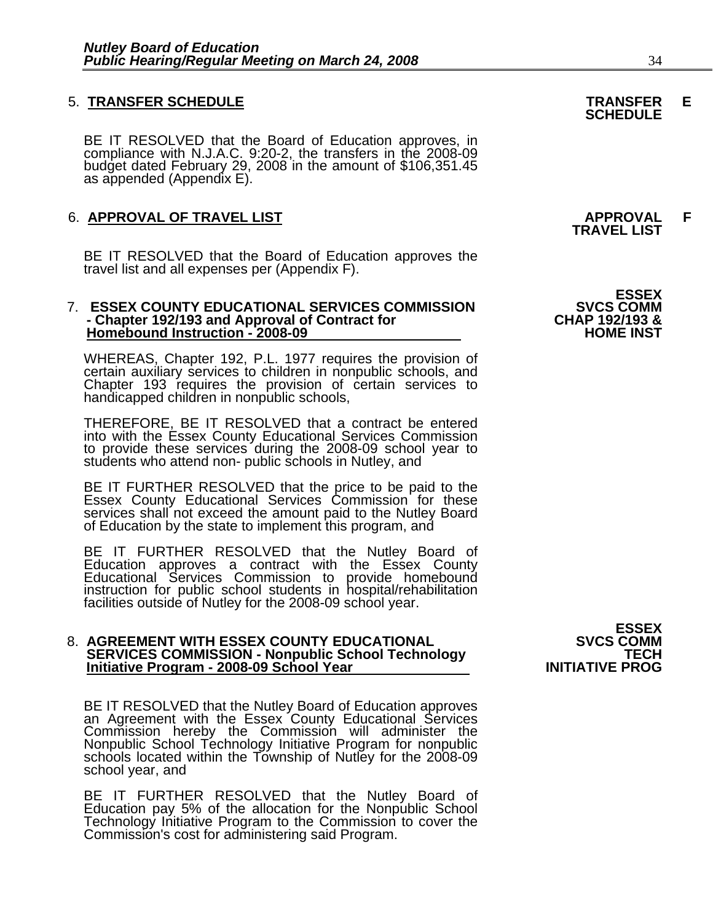BE IT RESOLVED that the Board of Education approves, in compliance with N.J.A.C. 9:20-2, the transfers in the 2008-09 budget dated February 29, 2008 in the amount of \$106,351.45 as appended (Appendix E).

### 6. **APPROVAL OF TRAVEL LIST APPROVAL F TRAVEL LIST**

BE IT RESOLVED that the Board of Education approves the travel list and all expenses per (Appendix F).

#### 7. **ESSEX COUNTY EDUCATIONAL SERVICES COMMISSION** SVCS COMM<br>4 Chapter 192/193 and Approval of Contract for **Standal Community CHAP - Chapter 192/193 and Approval of Contract for CHAP 192/193 & Homebound Instruction - 2008-09**

WHEREAS, Chapter 192, P.L. 1977 requires the provision of certain auxiliary services to children in nonpublic schools, and Chapter 193 requires the provision of certain services to handicapped children in nonpublic schools,

THEREFORE, BE IT RESOLVED that a contract be entered into with the Essex County Educational Services Commission to provide these services during the 2008-09 school year to students who attend non- public schools in Nutley, and

BE IT FURTHER RESOLVED that the price to be paid to the Essex County Educational Services Commission for these services shall not exceed the amount paid to the Nutley Board of Education by the state to implement this program, and

BE IT FURTHER RESOLVED that the Nutley Board of<br>Education approves a contract with the Essex County Educational Services Commission to provide homebound instruction for public school students in hospital/rehabilitation<br>facilities outside of Nutley for the 2008-09 school year.

### 8. **AGREEMENT WITH ESSEX COUNTY EDUCATIONAL SVCS COMM SERVICES COMMISSION - Nonpublic School Technology TECH Initiative Program - 2008-09 School Year INITIATIVE PROG**

BE IT RESOLVED that the Nutley Board of Education approves an Agreement with the Essex County Educational Services Commission hereby the Commission will administer the Nonpublic School Technology Initiative Program for nonpublic schools located within the Township of Nutley for the 2008-09 school year, and

BE IT FURTHER RESOLVED that the Nutley Board of Education pay 5% of the allocation for the Nonpublic School Technology Initiative Program to the Commission to cover the Commission's cost for administering said Program.

**ESSEX**<br>SVCS COMM

**ESSEX**<br>SVCS COMM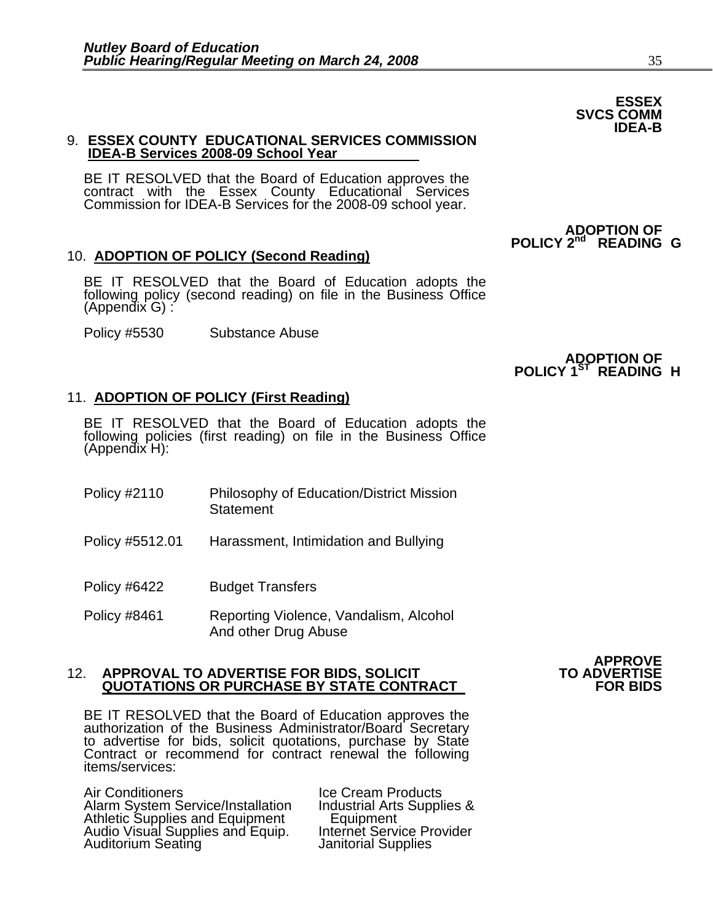#### 9. **ESSEX COUNTY EDUCATIONAL SERVICES COMMISSION IDEA-B Services 2008-09 School Year**

BE IT RESOLVED that the Board of Education approves the contract with the Essex County Educational Services Commission for IDEA-B Services for the 2008-09 school year.

#### 10. **ADOPTION OF POLICY (Second Reading)**

BE IT RESOLVED that the Board of Education adopts the following policy (second reading) on file in the Business Office (Appendix G) :

Policy #5530 Substance Abuse

11. **ADOPTION OF POLICY (First Reading)**

BE IT RESOLVED that the Board of Education adopts the following policies (first reading) on file in the Business Office (Appendix H):

- Policy #2110 Philosophy of Education/District Mission **Statement**
- Policy #5512.01 Harassment, Intimidation and Bullying
- Policy #6422 Budget Transfers
- Policy #8461 Reporting Violence, Vandalism, Alcohol And other Drug Abuse

#### 12. **APPROVAL TO ADVERTISE FOR BIDS, SOLICIT TO ADVERTISE QUOTATIONS OR PURCHASE BY STATE CONTRACT FOR BIDS**

BE IT RESOLVED that the Board of Education approves the authorization of the Business Administrator/Board Secretary to advertise for bids, solicit quotations, purchase by State Contract or recommend for contract renewal the following items/services:

Air Conditioners<br>Alarm System Service/Installation Industrial Arts Supplies & Alarm System Service/Installation Industrial Arts Supplies & Athletic Supplies and Equipment Equipment Audio Visual Supplies and Equip. Internet Service Provider Auditorium Seating **Internal Supplies** 

# **APPROVE**<br>**TO ADVERTISE**

# **ADOPTION OF**

### **POLICY 1<sup>ST</sup> READING H**

# **ESSEX SVCS COMM IDEA-B**

 **ADOPTION OF POLICY 2nd READING G**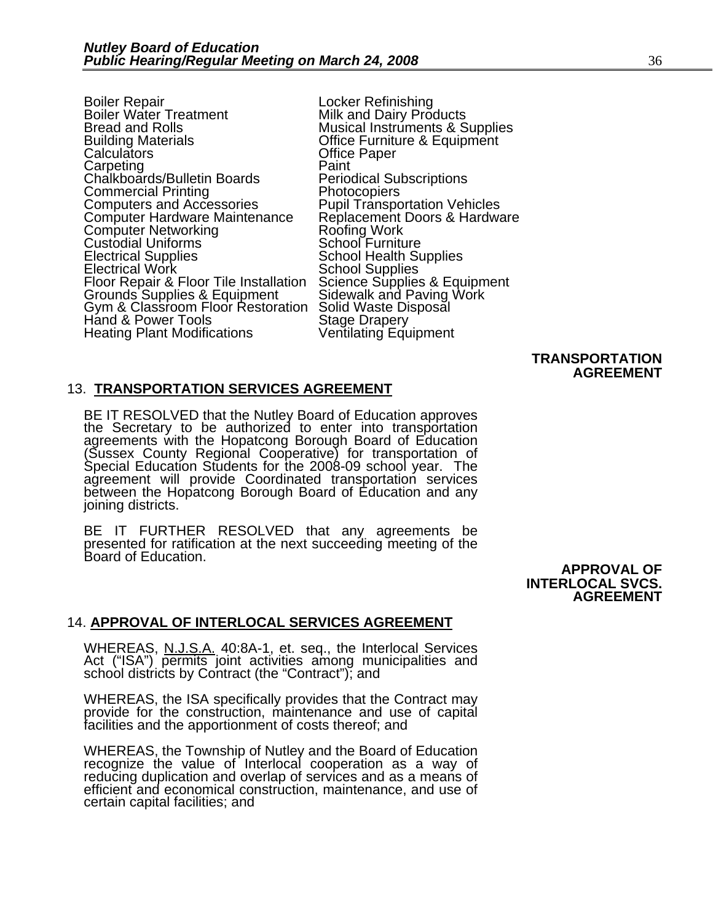Boiler Repair<br>Boiler Water Treatment Milk and Dairy Pro Boiler Water Treatment Milk and Dairy Products<br>Bread and Rolls Musical Instruments & S Bread and Rolls Musical Instruments & Supplies<br>Building Materials Office Furniture & Equipment Building Materials **Democratic Calculators** Office Furniture & Equipment Calculators Carpeting Paint<br>Chalkboards/Bulletin Boards Periodical Subscriptions Chalkboards/Bulletin Boards<br>
Commercial Printing Photocopiers<br>
Computers and Accessories Pupil Transportation Vehicles Computers and Accessories Computer Hardware Maintenance Replacement Doors & Hardware<br>Computer Networking Roofing Work<br>Custodial Uniforms **Rooth Roofing Work** Custodial Uniforms<br>
Electrical Supplies<br>
School Health Supplies Electrical Supplies<br>
Electrical Work School Health Supplies<br>
Floor Repair & Floor Tile Installation Science Supplies & Equipment Floor Repair & Floor Tile Installation Science Supplies & Equipment Grounds Supplies & Equipment Gym & Classroom Floor Restoration Solid Waste Disposal Hand & Power Tools Stage Drapery Hand & Power Tools<br>
Heating Plant Modifications<br>
Ventilating Equipment Heating Plant Modifications

#### **TRANSPORTATION AGREEMENT**

#### 13. **TRANSPORTATION SERVICES AGREEMENT**

BE IT RESOLVED that the Nutley Board of Education approves<br>the Secretary to be authorized to enter into transportation<br>agreements with the Hopatcong Borough Board of Education<br>(Sussex County Regional Cooperative) for trans agreement will provide Coordinated transportation services between the Hopatcong Borough Board of Education and any joining districts.

BE IT FURTHER RESOLVED that any agreements be presented for ratification at the next succeeding meeting of the Board of Education.

**APPROVAL OF INTERLOCAL SVCS. AGREEMENT** 

#### 14. **APPROVAL OF INTERLOCAL SERVICES AGREEMENT**

WHEREAS, N.J.S.A. 40:8A-1, et. seq., the Interlocal Services Act ("ISA") permits joint activities among municipalities and school districts by Contract (the "Contract"); and

WHEREAS, the ISA specifically provides that the Contract may provide for the construction, maintenance and use of capital facilities and the apportionment of costs thereof; and

WHEREAS, the Township of Nutley and the Board of Education recognize the value of Interlocal cooperation as a way of reducing duplication and overlap of services and as a means of efficient and economical construction, maintenance, and use of certain capital facilities; and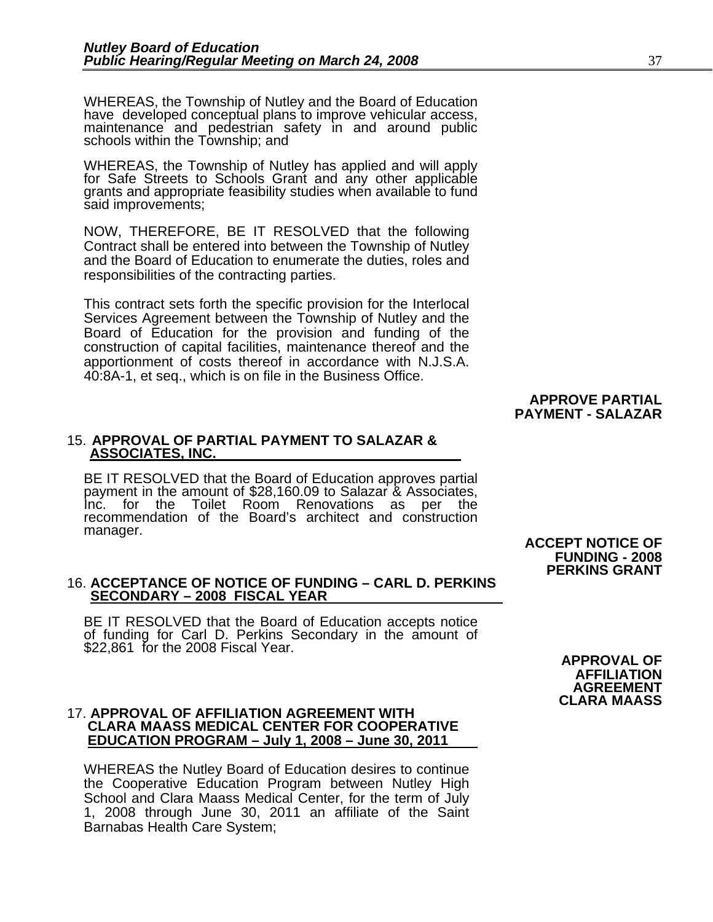WHEREAS, the Township of Nutley and the Board of Education have developed conceptual plans to improve vehicular access, maintenance and pedestrian safety in and around public schools within the Township; and

WHEREAS, the Township of Nutley has applied and will apply for Safe Streets to Schools Grant and any other applicable grants and appropriate feasibility studies when available to fund said improvements;

NOW, THEREFORE, BE IT RESOLVED that the following Contract shall be entered into between the Township of Nutley and the Board of Education to enumerate the duties, roles and responsibilities of the contracting parties.

This contract sets forth the specific provision for the Interlocal Services Agreement between the Township of Nutley and the Board of Education for the provision and funding of the construction of capital facilities, maintenance thereof and the apportionment of costs thereof in accordance with N.J.S.A. 40:8A-1, et seq., which is on file in the Business Office.

#### **APPROVE PARTIAL PAYMENT - SALAZAR**

#### 15. **APPROVAL OF PARTIAL PAYMENT TO SALAZAR & ASSOCIATES, INC.**

BE IT RESOLVED that the Board of Education approves partial payment in the amount of \$28,160.09 to Salazar & Associates, Inc. for the Toilet Room Renovations as per the recommendation of the Board's architect and construction manager.

#### 16. **ACCEPTANCE OF NOTICE OF FUNDING – CARL D. PERKINS SECONDARY – 2008 FISCAL YEAR**

BE IT RESOLVED that the Board of Education accepts notice of funding for Carl D. Perkins Secondary in the amount of \$22,861 for the 2008 Fiscal Year.

### 17. **APPROVAL OF AFFILIATION AGREEMENT WITH CLARA MAASS MEDICAL CENTER FOR COOPERATIVE EDUCATION PROGRAM – July 1, 2008 – June 30, 2011**

WHEREAS the Nutley Board of Education desires to continue the Cooperative Education Program between Nutley High School and Clara Maass Medical Center, for the term of July 1, 2008 through June 30, 2011 an affiliate of the Saint Barnabas Health Care System;

 **ACCEPT NOTICE OF FUNDING - 2008 PERKINS GRANT** 

> **APPROVAL OF AFFILIATION AGREEMENT CLARA MAASS**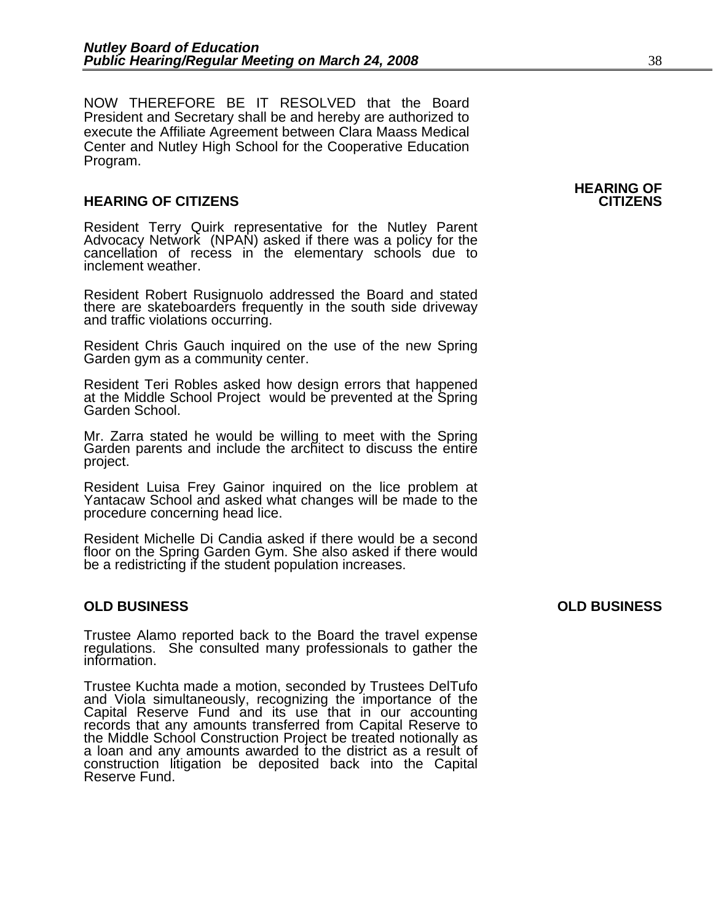NOW THEREFORE BE IT RESOLVED that the Board President and Secretary shall be and hereby are authorized to execute the Affiliate Agreement between Clara Maass Medical Center and Nutley High School for the Cooperative Education Program.

#### **HEARING OF CITIZENS CITIZENS**

Resident Terry Quirk representative for the Nutley Parent Advocacy Network (NPAN) asked if there was a policy for the cancellation of recess in the elementary schools due to inclement weather.

Resident Robert Rusignuolo addressed the Board and stated there are skateboarders frequently in the south side driveway and traffic violations occurring.

Resident Chris Gauch inquired on the use of the new Spring Garden gym as a community center.

Resident Teri Robles asked how design errors that happened at the Middle School Project would be prevented at the Spring Garden School.

Mr. Zarra stated he would be willing to meet with the Spring Garden parents and include the architect to discuss the entire project.

Resident Luisa Frey Gainor inquired on the lice problem at Yantacaw School and asked what changes will be made to the procedure concerning head lice.

Resident Michelle Di Candia asked if there would be a second floor on the Spring Garden Gym. She also asked if there would be a redistricting if the student population increases.

#### **OLD BUSINESS OLD BUSINESS**

Trustee Alamo reported back to the Board the travel expense regulations. She consulted many professionals to gather the information.

Trustee Kuchta made a motion, seconded by Trustees DelTufo<br>and Viola simultaneously, recognizing the importance of the<br>Capital Reserve Fund and its use that in our accounting<br>records that any amounts transferred from Capit the Middle School Construction Project be treated notionally as a loan and any amounts awarded to the district as a result of construction litigation be deposited back into the Capital Reserve Fund.

## **HEARING OF**